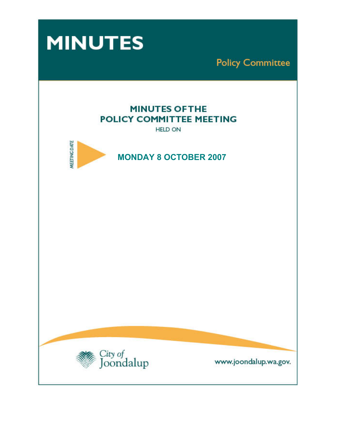



www.joondalup.wa.gov.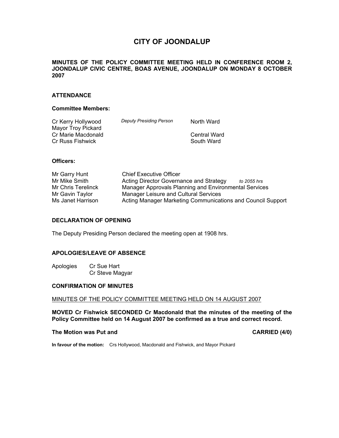# **CITY OF JOONDALUP**

## **MINUTES OF THE POLICY COMMITTEE MEETING HELD IN CONFERENCE ROOM 2, JOONDALUP CIVIC CENTRE, BOAS AVENUE, JOONDALUP ON MONDAY 8 OCTOBER 2007**

## **ATTENDANCE**

## **Committee Members:**

| Cr Kerry Hollywood      | <b>Deputy Presiding Person</b> | North Ward   |
|-------------------------|--------------------------------|--------------|
| Mayor Troy Pickard      |                                |              |
| Cr Marie Macdonald      |                                | Central Ward |
| <b>Cr Russ Fishwick</b> |                                | South Ward   |

#### **Officers:**

| Mr Garry Hunt      | <b>Chief Executive Officer</b>                              |  |
|--------------------|-------------------------------------------------------------|--|
| Mr Mike Smith      | Acting Director Governance and Strategy<br>to 2055 hrs      |  |
| Mr Chris Terelinck | Manager Approvals Planning and Environmental Services       |  |
| Mr Gavin Taylor    | Manager Leisure and Cultural Services                       |  |
| Ms Janet Harrison  | Acting Manager Marketing Communications and Council Support |  |

## **DECLARATION OF OPENING**

The Deputy Presiding Person declared the meeting open at 1908 hrs.

#### **APOLOGIES/LEAVE OF ABSENCE**

Apologies Cr Sue Hart Cr Steve Magyar

#### **CONFIRMATION OF MINUTES**

MINUTES OF THE POLICY COMMITTEE MEETING HELD ON 14 AUGUST 2007

**MOVED Cr Fishwick SECONDED Cr Macdonald that the minutes of the meeting of the Policy Committee held on 14 August 2007 be confirmed as a true and correct record.** 

#### **The Motion was Put and CARRIED (4/0) CARRIED (4/0)**

**In favour of the motion:** Crs Hollywood, Macdonald and Fishwick, and Mayor Pickard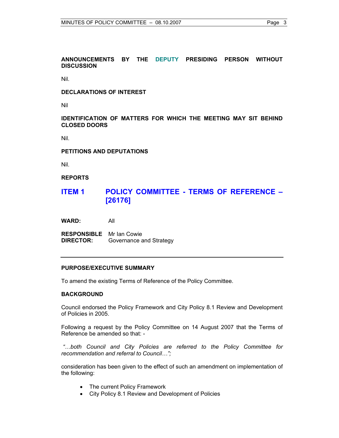## **ANNOUNCEMENTS BY THE DEPUTY PRESIDING PERSON WITHOUT DISCUSSION**

Nil.

#### **DECLARATIONS OF INTEREST**

Nil

## **IDENTIFICATION OF MATTERS FOR WHICH THE MEETING MAY SIT BEHIND CLOSED DOORS**

Nil.

#### **PETITIONS AND DEPUTATIONS**

Nil.

#### **REPORTS**

# **ITEM 1 POLICY COMMITTEE - TERMS OF REFERENCE – [26176]**

**WARD:** All

**RESPONSIBLE** Mr Ian Cowie **DIRECTOR:** Governance and Strategy

### **PURPOSE/EXECUTIVE SUMMARY**

To amend the existing Terms of Reference of the Policy Committee.

## **BACKGROUND**

Council endorsed the Policy Framework and City Policy 8.1 Review and Development of Policies in 2005.

Following a request by the Policy Committee on 14 August 2007 that the Terms of Reference be amended so that: -

 *"…both Council and City Policies are referred to the Policy Committee for recommendation and referral to Council…";*

consideration has been given to the effect of such an amendment on implementation of the following:

- The current Policy Framework
- City Policy 8.1 Review and Development of Policies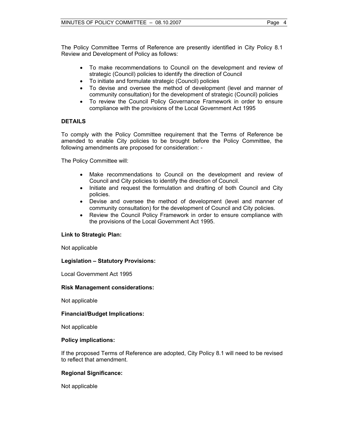The Policy Committee Terms of Reference are presently identified in City Policy 8.1 Review and Development of Policy as follows:

- To make recommendations to Council on the development and review of strategic (Council) policies to identify the direction of Council
- To initiate and formulate strategic (Council) policies
- To devise and oversee the method of development (level and manner of community consultation) for the development of strategic (Council) policies
- To review the Council Policy Governance Framework in order to ensure compliance with the provisions of the Local Government Act 1995

## **DETAILS**

To comply with the Policy Committee requirement that the Terms of Reference be amended to enable City policies to be brought before the Policy Committee, the following amendments are proposed for consideration: -

The Policy Committee will:

- Make recommendations to Council on the development and review of Council and City policies to identify the direction of Council.
- Initiate and request the formulation and drafting of both Council and City policies.
- Devise and oversee the method of development (level and manner of community consultation) for the development of Council and City policies.
- Review the Council Policy Framework in order to ensure compliance with the provisions of the Local Government Act 1995.

## **Link to Strategic Plan:**

Not applicable

## **Legislation – Statutory Provisions:**

Local Government Act 1995

#### **Risk Management considerations:**

Not applicable

## **Financial/Budget Implications:**

Not applicable

#### **Policy implications:**

If the proposed Terms of Reference are adopted, City Policy 8.1 will need to be revised to reflect that amendment.

## **Regional Significance:**

Not applicable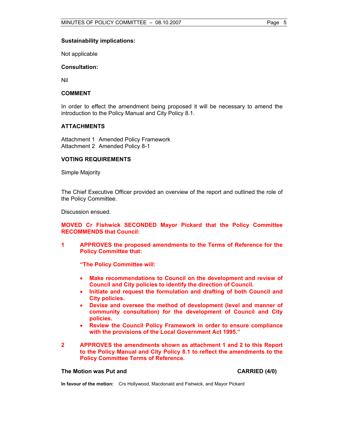#### **Sustainability implications:**

Not applicable

#### **Consultation:**

Nil

#### **COMMENT**

In order to effect the amendment being proposed it will be necessary to amend the introduction to the Policy Manual and City Policy 8.1.

## **ATTACHMENTS**

Attachment 1 Amended Policy Framework Attachment 2 Amended Policy 8-1

#### **VOTING REQUIREMENTS**

Simple Majority

The Chief Executive Officer provided an overview of the report and outlined the role of the Policy Committee.

Discussion ensued.

**MOVED Cr Fishwick SECONDED Mayor Pickard that the Policy Committee RECOMMENDS that Council:** 

**1 APPROVES the proposed amendments to the Terms of Reference for the Policy Committee that:** 

**"The Policy Committee will:** 

- **Make recommendations to Council on the development and review of Council and City policies to identify the direction of Council.**
- **Initiate and request the formulation and drafting of both Council and City policies.**
- **Devise and oversee the method of development (level and manner of community consultation) for the development of Council and City policies.**
- **Review the Council Policy Framework in order to ensure compliance with the provisions of the Local Government Act 1995."**
- **2 APPROVES the amendments shown as attachment 1 and 2 to this Report to the Policy Manual and City Policy 8.1 to reflect the amendments to the Policy Committee Terms of Reference.**

#### **The Motion was Put and CARRIED (4/0) CARRIED (4/0)**

**In favour of the motion:** Crs Hollywood, Macdonald and Fishwick, and Mayor Pickard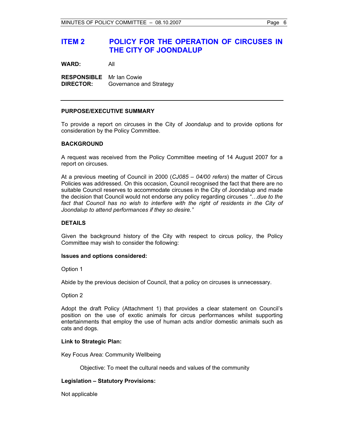# **ITEM 2 POLICY FOR THE OPERATION OF CIRCUSES IN THE CITY OF JOONDALUP**

**WARD:** All

**RESPONSIBLE** Mr Ian Cowie **DIRECTOR:** Governance and Strategy

## **PURPOSE/EXECUTIVE SUMMARY**

To provide a report on circuses in the City of Joondalup and to provide options for consideration by the Policy Committee.

## **BACKGROUND**

A request was received from the Policy Committee meeting of 14 August 2007 for a report on circuses.

At a previous meeting of Council in 2000 (*CJ085 – 04/00 refers*) the matter of Circus Policies was addressed. On this occasion, Council recognised the fact that there are no suitable Council reserves to accommodate circuses in the City of Joondalup and made the decision that Council would not endorse any policy regarding circuses *"…due to the*  fact that Council has no wish to interfere with the right of residents in the City of *Joondalup to attend performances if they so desire."*

## **DETAILS**

Given the background history of the City with respect to circus policy, the Policy Committee may wish to consider the following:

#### **Issues and options considered:**

Option 1

Abide by the previous decision of Council, that a policy on circuses is unnecessary.

#### Option 2

Adopt the draft Policy (Attachment 1) that provides a clear statement on Council's position on the use of exotic animals for circus performances whilst supporting entertainments that employ the use of human acts and/or domestic animals such as cats and dogs.

#### **Link to Strategic Plan:**

Key Focus Area: Community Wellbeing

Objective: To meet the cultural needs and values of the community

## **Legislation – Statutory Provisions:**

Not applicable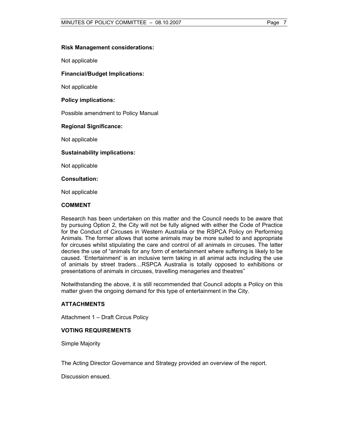## **Risk Management considerations:**

Not applicable

#### **Financial/Budget Implications:**

Not applicable

#### **Policy implications:**

Possible amendment to Policy Manual

## **Regional Significance:**

Not applicable

## **Sustainability implications:**

Not applicable

#### **Consultation:**

Not applicable

#### **COMMENT**

Research has been undertaken on this matter and the Council needs to be aware that by pursuing Option 2, the City will not be fully aligned with either the Code of Practice for the Conduct of Circuses in Western Australia or the RSPCA Policy on Performing Animals. The former allows that some animals may be more suited to and appropriate for circuses whilst stipulating the care and control of all animals in circuses. The latter decries the use of "animals for any form of entertainment where suffering is likely to be caused. 'Entertainment' is an inclusive term taking in all animal acts including the use of animals by street traders…RSPCA Australia is totally opposed to exhibitions or presentations of animals in circuses, travelling menageries and theatres"

Notwithstanding the above, it is still recommended that Council adopts a Policy on this matter given the ongoing demand for this type of entertainment in the City.

## **ATTACHMENTS**

Attachment 1 – Draft Circus Policy

## **VOTING REQUIREMENTS**

Simple Majority

The Acting Director Governance and Strategy provided an overview of the report.

Discussion ensued.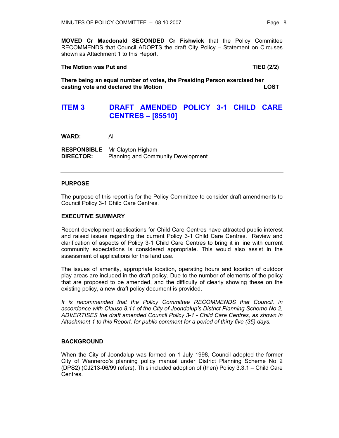**MOVED Cr Macdonald SECONDED Cr Fishwick** that the Policy Committee RECOMMENDS that Council ADOPTS the draft City Policy – Statement on Circuses shown as Attachment 1 to this Report.

## The Motion was Put and TIED (2/2)

**There being an equal number of votes, the Presiding Person exercised her casting vote and declared the Motion LOST** 

# **ITEM 3 DRAFT AMENDED POLICY 3-1 CHILD CARE CENTRES – [85510]**

**WARD:** All

**RESPONSIBLE** Mr Clayton Higham **DIRECTOR:** Planning and Community Development

## **PURPOSE**

The purpose of this report is for the Policy Committee to consider draft amendments to Council Policy 3-1 Child Care Centres.

## **EXECUTIVE SUMMARY**

Recent development applications for Child Care Centres have attracted public interest and raised issues regarding the current Policy 3-1 Child Care Centres. Review and clarification of aspects of Policy 3-1 Child Care Centres to bring it in line with current community expectations is considered appropriate. This would also assist in the assessment of applications for this land use.

The issues of amenity, appropriate location, operating hours and location of outdoor play areas are included in the draft policy. Due to the number of elements of the policy that are proposed to be amended, and the difficulty of clearly showing these on the existing policy, a new draft policy document is provided.

*It is recommended that the Policy Committee RECOMMENDS that Council, in accordance with Clause 8.11 of the City of Joondalup's District Planning Scheme No 2, ADVERTISES the draft amended Council Policy 3-1 - Child Care Centres, as shown in Attachment 1 to this Report, for public comment for a period of thirty five (35) days.* 

#### **BACKGROUND**

When the City of Joondalup was formed on 1 July 1998, Council adopted the former City of Wanneroo's planning policy manual under District Planning Scheme No 2 (DPS2) (CJ213-06/99 refers). This included adoption of (then) Policy 3.3.1 – Child Care Centres.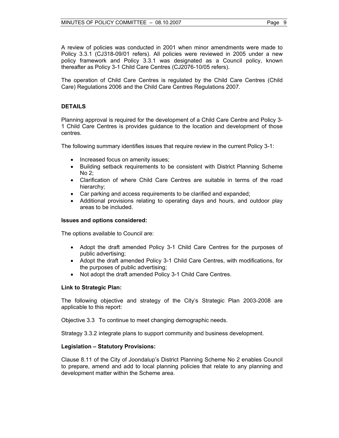A review of policies was conducted in 2001 when minor amendments were made to Policy 3.3.1 (CJ318-09/01 refers). All policies were reviewed in 2005 under a new policy framework and Policy 3.3.1 was designated as a Council policy, known thereafter as Policy 3-1 Child Care Centres (CJ2076-10/05 refers).

The operation of Child Care Centres is regulated by the Child Care Centres (Child Care) Regulations 2006 and the Child Care Centres Regulations 2007.

## **DETAILS**

Planning approval is required for the development of a Child Care Centre and Policy 3- 1 Child Care Centres is provides guidance to the location and development of those centres.

The following summary identifies issues that require review in the current Policy 3-1:

- Increased focus on amenity issues;
- Building setback requirements to be consistent with District Planning Scheme No 2;
- Clarification of where Child Care Centres are suitable in terms of the road hierarchy;
- Car parking and access requirements to be clarified and expanded;
- Additional provisions relating to operating days and hours, and outdoor play areas to be included.

#### **Issues and options considered:**

The options available to Council are:

- Adopt the draft amended Policy 3-1 Child Care Centres for the purposes of public advertising;
- Adopt the draft amended Policy 3-1 Child Care Centres, with modifications, for the purposes of public advertising;
- Not adopt the draft amended Policy 3-1 Child Care Centres.

#### **Link to Strategic Plan:**

The following objective and strategy of the City's Strategic Plan 2003-2008 are applicable to this report:

Objective 3.3 To continue to meet changing demographic needs.

Strategy 3.3.2 integrate plans to support community and business development.

## **Legislation – Statutory Provisions:**

Clause 8.11 of the City of Joondalup's District Planning Scheme No 2 enables Council to prepare, amend and add to local planning policies that relate to any planning and development matter within the Scheme area.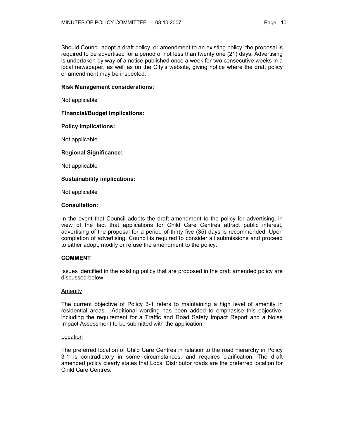Should Council adopt a draft policy, or amendment to an existing policy, the proposal is required to be advertised for a period of not less than twenty one (21) days. Advertising is undertaken by way of a notice published once a week for two consecutive weeks in a local newspaper, as well as on the City's website, giving notice where the draft policy or amendment may be inspected.

## **Risk Management considerations:**

Not applicable

## **Financial/Budget Implications:**

## **Policy implications:**

Not applicable

## **Regional Significance:**

Not applicable

## **Sustainability implications:**

Not applicable

## **Consultation:**

In the event that Council adopts the draft amendment to the policy for advertising, in view of the fact that applications for Child Care Centres attract public interest, advertising of the proposal for a period of thirty five (35) days is recommended. Upon completion of advertising, Council is required to consider all submissions and proceed to either adopt, modify or refuse the amendment to the policy.

#### **COMMENT**

Issues identified in the existing policy that are proposed in the draft amended policy are discussed below:

#### **Amenity**

The current objective of Policy 3-1 refers to maintaining a high level of amenity in residential areas. Additional wording has been added to emphasise this objective, including the requirement for a Traffic and Road Safety Impact Report and a Noise Impact Assessment to be submitted with the application.

#### Location

The preferred location of Child Care Centres in relation to the road hierarchy in Policy 3-1 is contradictory in some circumstances, and requires clarification. The draft amended policy clearly states that Local Distributor roads are the preferred location for Child Care Centres.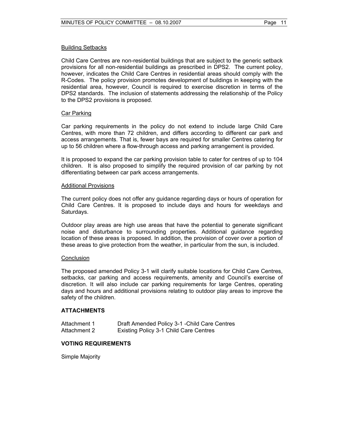## Building Setbacks

Child Care Centres are non-residential buildings that are subject to the generic setback provisions for all non-residential buildings as prescribed in DPS2. The current policy, however, indicates the Child Care Centres in residential areas should comply with the R-Codes. The policy provision promotes development of buildings in keeping with the residential area, however, Council is required to exercise discretion in terms of the DPS2 standards. The inclusion of statements addressing the relationship of the Policy to the DPS2 provisions is proposed.

## Car Parking

Car parking requirements in the policy do not extend to include large Child Care Centres, with more than 72 children, and differs according to different car park and access arrangements. That is, fewer bays are required for smaller Centres catering for up to 56 children where a flow-through access and parking arrangement is provided.

It is proposed to expand the car parking provision table to cater for centres of up to 104 children. It is also proposed to simplify the required provision of car parking by not differentiating between car park access arrangements.

#### Additional Provisions

The current policy does not offer any guidance regarding days or hours of operation for Child Care Centres. It is proposed to include days and hours for weekdays and Saturdays.

Outdoor play areas are high use areas that have the potential to generate significant noise and disturbance to surrounding properties. Additional guidance regarding location of these areas is proposed. In addition, the provision of cover over a portion of these areas to give protection from the weather, in particular from the sun, is included.

#### **Conclusion**

The proposed amended Policy 3-1 will clarify suitable locations for Child Care Centres, setbacks, car parking and access requirements, amenity and Council's exercise of discretion. It will also include car parking requirements for large Centres, operating days and hours and additional provisions relating to outdoor play areas to improve the safety of the children.

#### **ATTACHMENTS**

| Attachment 1 | Draft Amended Policy 3-1 - Child Care Centres |
|--------------|-----------------------------------------------|
| Attachment 2 | <b>Existing Policy 3-1 Child Care Centres</b> |

## **VOTING REQUIREMENTS**

Simple Majority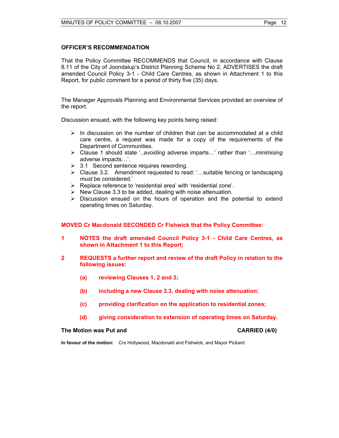## **OFFICER'S RECOMMENDATION**

That the Policy Committee RECOMMENDS that Council, in accordance with Clause 8.11 of the City of Joondalup's District Planning Scheme No 2, ADVERTISES the draft amended Council Policy 3-1 - Child Care Centres, as shown in Attachment 1 to this Report, for public comment for a period of thirty five (35) days.

The Manager Approvals Planning and Environmental Services provided an overview of the report.

Discussion ensued, with the following key points being raised:

- $\triangleright$  In discussion on the number of children that can be accommodated at a child care centre, a request was made for a copy of the requirements of the Department of Communities.
- ¾ Clause 1 should state '..*avoiding* adverse imparts…' rather than '…*minimising* adverse impacts…'.
- $\geq$  3.1 Second sentence requires rewording.
- $\triangleright$  Clause 3.2. Amendment requested to read: '... suitable fencing or landscaping *must* be considered.'
- $\triangleright$  Replace reference to 'residential area' with 'residential zone'.
- $\triangleright$  New Clause 3.3 to be added, dealing with noise attenuation.
- $\triangleright$  Discussion ensued on the hours of operation and the potential to extend operating times on Saturday.

**MOVED Cr Macdonald SECONDED Cr Fishwick that the Policy Committee:** 

- **1 NOTES the draft amended Council Policy 3-1 Child Care Centres, as shown in Attachment 1 to this Report;**
- **2 REQUESTS a further report and review of the draft Policy in relation to the following issues:** 
	- **(a) reviewing Clauses 1, 2 and 3;**
	- **(b) including a new Clause 3.3, dealing with noise attenuation;**
	- **(c) providing clarification on the application to residential zones;**
	- **(d) giving consideration to extension of operating times on Saturday.**

#### **The Motion was Put and CARRIED (4/0) CARRIED (4/0)**

**In favour of the motion:** Crs Hollywood, Macdonald and Fishwick, and Mayor Pickard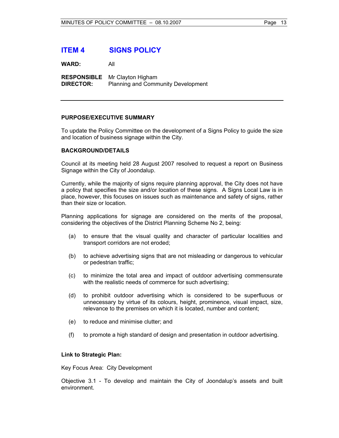# **ITEM 4 SIGNS POLICY**

**WARD:** All

**RESPONSIBLE** Mr Clayton Higham **DIRECTOR:** Planning and Community Development

## **PURPOSE/EXECUTIVE SUMMARY**

To update the Policy Committee on the development of a Signs Policy to guide the size and location of business signage within the City.

## **BACKGROUND/DETAILS**

Council at its meeting held 28 August 2007 resolved to request a report on Business Signage within the City of Joondalup.

Currently, while the majority of signs require planning approval, the City does not have a policy that specifies the size and/or location of these signs. A Signs Local Law is in place, however, this focuses on issues such as maintenance and safety of signs, rather than their size or location.

Planning applications for signage are considered on the merits of the proposal, considering the objectives of the District Planning Scheme No 2, being:

- (a) to ensure that the visual quality and character of particular localities and transport corridors are not eroded;
- (b) to achieve advertising signs that are not misleading or dangerous to vehicular or pedestrian traffic;
- (c) to minimize the total area and impact of outdoor advertising commensurate with the realistic needs of commerce for such advertising;
- (d) to prohibit outdoor advertising which is considered to be superfluous or unnecessary by virtue of its colours, height, prominence, visual impact, size, relevance to the premises on which it is located, number and content;
- (e) to reduce and minimise clutter; and
- (f) to promote a high standard of design and presentation in outdoor advertising.

#### **Link to Strategic Plan:**

Key Focus Area: City Development

Objective 3.1 - To develop and maintain the City of Joondalup's assets and built environment.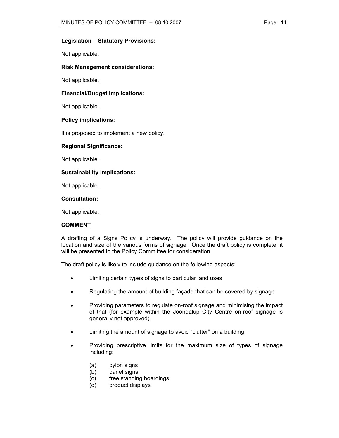## **Legislation – Statutory Provisions:**

Not applicable.

#### **Risk Management considerations:**

Not applicable.

#### **Financial/Budget Implications:**

Not applicable.

#### **Policy implications:**

It is proposed to implement a new policy.

#### **Regional Significance:**

Not applicable.

#### **Sustainability implications:**

Not applicable.

#### **Consultation:**

Not applicable.

#### **COMMENT**

A drafting of a Signs Policy is underway. The policy will provide guidance on the location and size of the various forms of signage. Once the draft policy is complete, it will be presented to the Policy Committee for consideration.

The draft policy is likely to include guidance on the following aspects:

- Limiting certain types of signs to particular land uses
- Regulating the amount of building façade that can be covered by signage
- Providing parameters to regulate on-roof signage and minimising the impact of that (for example within the Joondalup City Centre on-roof signage is generally not approved).
- Limiting the amount of signage to avoid "clutter" on a building
- Providing prescriptive limits for the maximum size of types of signage including:
	- (a) pylon signs
	- (b) panel signs
	- (c) free standing hoardings
	- (d) product displays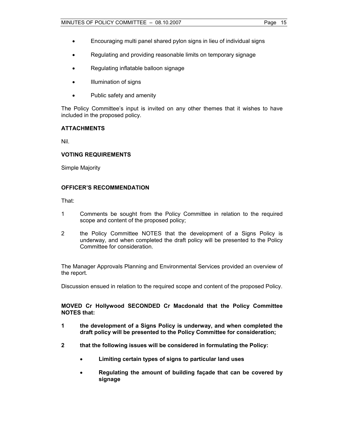- Encouraging multi panel shared pylon signs in lieu of individual signs
- Regulating and providing reasonable limits on temporary signage
- Regulating inflatable balloon signage
- Illumination of signs
- Public safety and amenity

The Policy Committee's input is invited on any other themes that it wishes to have included in the proposed policy.

## **ATTACHMENTS**

Nil.

## **VOTING REQUIREMENTS**

Simple Majority

## **OFFICER'S RECOMMENDATION**

That:

- 1 Comments be sought from the Policy Committee in relation to the required scope and content of the proposed policy;
- 2 the Policy Committee NOTES that the development of a Signs Policy is underway, and when completed the draft policy will be presented to the Policy Committee for consideration.

The Manager Approvals Planning and Environmental Services provided an overview of the report.

Discussion ensued in relation to the required scope and content of the proposed Policy.

## **MOVED Cr Hollywood SECONDED Cr Macdonald that the Policy Committee NOTES that:**

- **1 the development of a Signs Policy is underway, and when completed the draft policy will be presented to the Policy Committee for consideration;**
- **2 that the following issues will be considered in formulating the Policy:** 
	- **Limiting certain types of signs to particular land uses**
	- **Regulating the amount of building façade that can be covered by signage**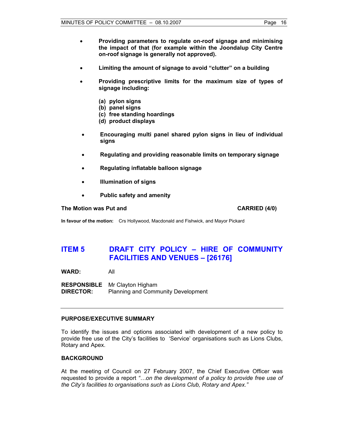- **Providing parameters to regulate on-roof signage and minimising the impact of that (for example within the Joondalup City Centre on-roof signage is generally not approved).**
- **Limiting the amount of signage to avoid "clutter" on a building**
- **Providing prescriptive limits for the maximum size of types of signage including:** 
	- **(a) pylon signs**
	- **(b) panel signs**
	- **(c) free standing hoardings**
	- **(d) product displays**
- **Encouraging multi panel shared pylon signs in lieu of individual signs**
- **Regulating and providing reasonable limits on temporary signage**
- **Regulating inflatable balloon signage**
- **Illumination of signs**
- **Public safety and amenity**

#### **The Motion was Put and CARRIED (4/0) CARRIED (4/0)**

**In favour of the motion:** Crs Hollywood, Macdonald and Fishwick, and Mayor Pickard

# **ITEM 5 DRAFT CITY POLICY – HIRE OF COMMUNITY FACILITIES AND VENUES – [26176]**

**WARD:** All

**RESPONSIBLE** Mr Clayton Higham **DIRECTOR:** Planning and Community Development

## **PURPOSE/EXECUTIVE SUMMARY**

To identify the issues and options associated with development of a new policy to provide free use of the City's facilities to 'Service' organisations such as Lions Clubs, Rotary and Apex.

#### **BACKGROUND**

At the meeting of Council on 27 February 2007, the Chief Executive Officer was requested to provide a report *"…on the development of a policy to provide free use of the City's facilities to organisations such as Lions Club, Rotary and Apex."*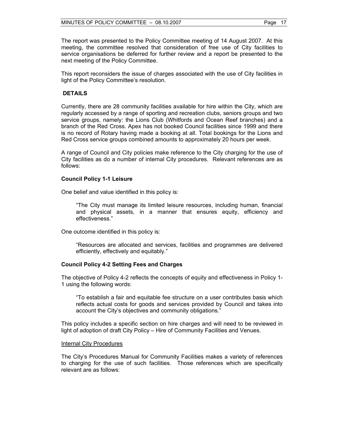The report was presented to the Policy Committee meeting of 14 August 2007. At this meeting, the committee resolved that consideration of free use of City facilities to service organisations be deferred for further review and a report be presented to the next meeting of the Policy Committee.

This report reconsiders the issue of charges associated with the use of City facilities in light of the Policy Committee's resolution.

#### **DETAILS**

Currently, there are 28 community facilities available for hire within the City, which are regularly accessed by a range of sporting and recreation clubs, seniors groups and two service groups, namely: the Lions Club (Whitfords and Ocean Reef branches) and a branch of the Red Cross. Apex has not booked Council facilities since 1999 and there is no record of Rotary having made a booking at all. Total bookings for the Lions and Red Cross service groups combined amounts to approximately 20 hours per week.

A range of Council and City policies make reference to the City charging for the use of City facilities as do a number of internal City procedures. Relevant references are as follows:

#### **Council Policy 1-1 Leisure**

One belief and value identified in this policy is:

"The City must manage its limited leisure resources, including human, financial and physical assets, in a manner that ensures equity, efficiency and effectiveness."

One outcome identified in this policy is:

"Resources are allocated and services, facilities and programmes are delivered efficiently, effectively and equitably."

#### **Council Policy 4-2 Setting Fees and Charges**

The objective of Policy 4-2 reflects the concepts of equity and effectiveness in Policy 1- 1 using the following words:

"To establish a fair and equitable fee structure on a user contributes basis which reflects actual costs for goods and services provided by Council and takes into account the City's objectives and community obligations."

This policy includes a specific section on hire charges and will need to be reviewed in light of adoption of draft City Policy – Hire of Community Facilities and Venues.

#### **Internal City Procedures**

The City's Procedures Manual for Community Facilities makes a variety of references to charging for the use of such facilities. Those references which are specifically relevant are as follows: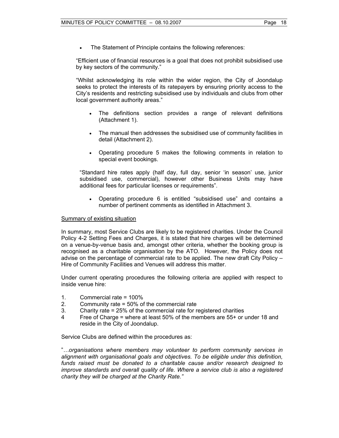The Statement of Principle contains the following references:

"Efficient use of financial resources is a goal that does not prohibit subsidised use by key sectors of the community."

"Whilst acknowledging its role within the wider region, the City of Joondalup seeks to protect the interests of its ratepayers by ensuring priority access to the City's residents and restricting subsidised use by individuals and clubs from other local government authority areas."

- The definitions section provides a range of relevant definitions (Attachment 1).
- The manual then addresses the subsidised use of community facilities in detail (Attachment 2).
- Operating procedure 5 makes the following comments in relation to special event bookings.

"Standard hire rates apply (half day, full day, senior 'in season' use, junior subsidised use, commercial), however other Business Units may have additional fees for particular licenses or requirements".

• Operating procedure 6 is entitled "subsidised use" and contains a number of pertinent comments as identified in Attachment 3.

#### Summary of existing situation

In summary, most Service Clubs are likely to be registered charities. Under the Council Policy 4-2 Setting Fees and Charges, it is stated that hire charges will be determined on a venue-by-venue basis and, amongst other criteria, whether the booking group is recognised as a charitable organisation by the ATO. However, the Policy does not advise on the percentage of commercial rate to be applied. The new draft City Policy – Hire of Community Facilities and Venues will address this matter.

Under current operating procedures the following criteria are applied with respect to inside venue hire:

- 1. Commercial rate = 100%
- 2. Community rate = 50% of the commercial rate
- 3. Charity rate = 25% of the commercial rate for registered charities
- 4 Free of Charge = where at least 50% of the members are 55+ or under 18 and reside in the City of Joondalup.

Service Clubs are defined within the procedures as:

"*…organisations where members may volunteer to perform community services in alignment with organisational goals and objectives. To be eligible under this definition, funds raised must be donated to a charitable cause and/or research designed to improve standards and overall quality of life. Where a service club is also a registered charity they will be charged at the Charity Rate."*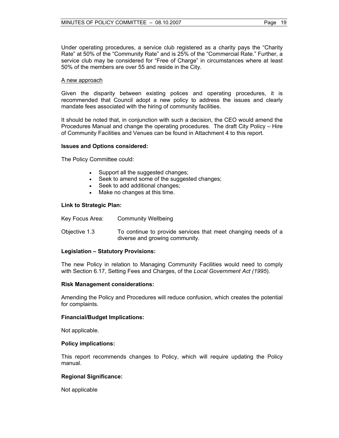Under operating procedures, a service club registered as a charity pays the "Charity Rate" at 50% of the "Community Rate" and is 25% of the "Commercial Rate." Further, a service club may be considered for "Free of Charge" in circumstances where at least 50% of the members are over 55 and reside in the City.

### A new approach

Given the disparity between existing polices and operating procedures, it is recommended that Council adopt a new policy to address the issues and clearly mandate fees associated with the hiring of community facilities.

It should be noted that, in conjunction with such a decision, the CEO would amend the Procedures Manual and change the operating procedures. The draft City Policy – Hire of Community Facilities and Venues can be found in Attachment 4 to this report.

## **Issues and Options considered:**

The Policy Committee could:

- Support all the suggested changes;
- Seek to amend some of the suggested changes;
- Seek to add additional changes;
- Make no changes at this time.

## **Link to Strategic Plan:**

| Key Focus Area: | Community Wellbeing                                                                             |
|-----------------|-------------------------------------------------------------------------------------------------|
| Objective 1.3   | To continue to provide services that meet changing needs of a<br>diverse and growing community. |

## **Legislation – Statutory Provisions:**

The new Policy in relation to Managing Community Facilities would need to comply with Section 6.17, Setting Fees and Charges, of the *Local Government Act (1995*).

#### **Risk Management considerations:**

Amending the Policy and Procedures will reduce confusion, which creates the potential for complaints.

#### **Financial/Budget Implications:**

Not applicable.

#### **Policy implications:**

This report recommends changes to Policy, which will require updating the Policy manual.

## **Regional Significance:**

Not applicable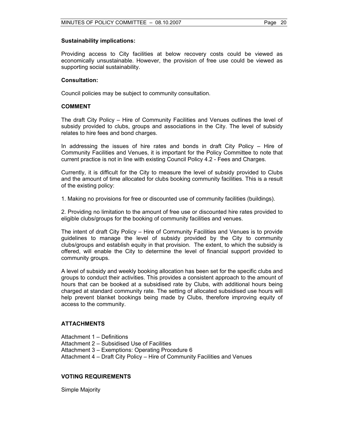## **Sustainability implications:**

Providing access to City facilities at below recovery costs could be viewed as economically unsustainable. However, the provision of free use could be viewed as supporting social sustainability.

## **Consultation:**

Council policies may be subject to community consultation.

## **COMMENT**

The draft City Policy – Hire of Community Facilities and Venues outlines the level of subsidy provided to clubs, groups and associations in the City. The level of subsidy relates to hire fees and bond charges.

In addressing the issues of hire rates and bonds in draft City Policy – Hire of Community Facilities and Venues, it is important for the Policy Committee to note that current practice is not in line with existing Council Policy 4.2 - Fees and Charges.

Currently, it is difficult for the City to measure the level of subsidy provided to Clubs and the amount of time allocated for clubs booking community facilities. This is a result of the existing policy:

1. Making no provisions for free or discounted use of community facilities (buildings).

2. Providing no limitation to the amount of free use or discounted hire rates provided to eligible clubs/groups for the booking of community facilities and venues.

The intent of draft City Policy – Hire of Community Facilities and Venues is to provide guidelines to manage the level of subsidy provided by the City to community clubs/groups and establish equity in that provision. The extent, to which the subsidy is offered, will enable the City to determine the level of financial support provided to community groups.

A level of subsidy and weekly booking allocation has been set for the specific clubs and groups to conduct their activities. This provides a consistent approach to the amount of hours that can be booked at a subsidised rate by Clubs, with additional hours being charged at standard community rate. The setting of allocated subsidised use hours will help prevent blanket bookings being made by Clubs, therefore improving equity of access to the community.

## **ATTACHMENTS**

Attachment 1 – Definitions

Attachment 2 – Subsidised Use of Facilities

Attachment 3 – Exemptions: Operating Procedure 6

Attachment 4 – Draft City Policy – Hire of Community Facilities and Venues

## **VOTING REQUIREMENTS**

Simple Majority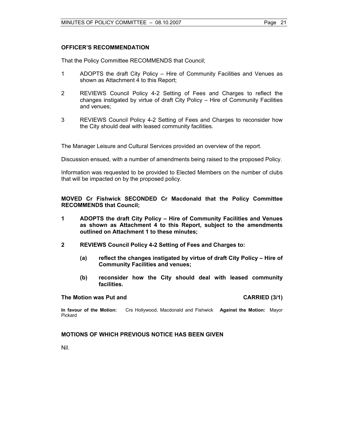## **OFFICER'S RECOMMENDATION**

That the Policy Committee RECOMMENDS that Council;

- 1 ADOPTS the draft City Policy Hire of Community Facilities and Venues as shown as Attachment 4 to this Report;
- 2 REVIEWS Council Policy 4-2 Setting of Fees and Charges to reflect the changes instigated by virtue of draft City Policy – Hire of Community Facilities and venues;
- 3 REVIEWS Council Policy 4-2 Setting of Fees and Charges to reconsider how the City should deal with leased community facilities.

The Manager Leisure and Cultural Services provided an overview of the report.

Discussion ensued, with a number of amendments being raised to the proposed Policy.

Information was requested to be provided to Elected Members on the number of clubs that will be impacted on by the proposed policy.

**MOVED Cr Fishwick SECONDED Cr Macdonald that the Policy Committee RECOMMENDS that Council;** 

- **1 ADOPTS the draft City Policy Hire of Community Facilities and Venues as shown as Attachment 4 to this Report, subject to the amendments outlined on Attachment 1 to these minutes;**
- **2 REVIEWS Council Policy 4-2 Setting of Fees and Charges to:** 
	- **(a) reflect the changes instigated by virtue of draft City Policy Hire of Community Facilities and venues;**
	- **(b) reconsider how the City should deal with leased community facilities.**

#### **The Motion was Put and CARRIED (3/1) CARRIED (3/1)**

**In favour of the Motion:** Crs Hollywood, Macdonald and Fishwick **Against the Motion:** Mayor Pickard

**MOTIONS OF WHICH PREVIOUS NOTICE HAS BEEN GIVEN** 

Nil.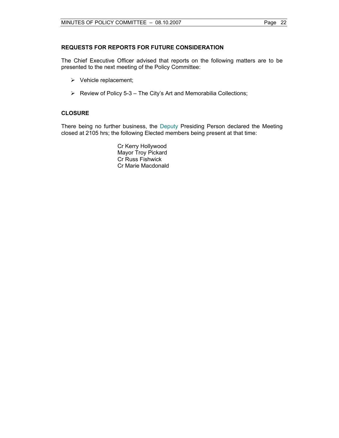The Chief Executive Officer advised that reports on the following matters are to be presented to the next meeting of the Policy Committee:

- $\triangleright$  Vehicle replacement;
- $\triangleright$  Review of Policy 5-3 The City's Art and Memorabilia Collections;

## **CLOSURE**

There being no further business, the Deputy Presiding Person declared the Meeting closed at 2105 hrs; the following Elected members being present at that time:

> Cr Kerry Hollywood Mayor Troy Pickard Cr Russ Fishwick Cr Marie Macdonald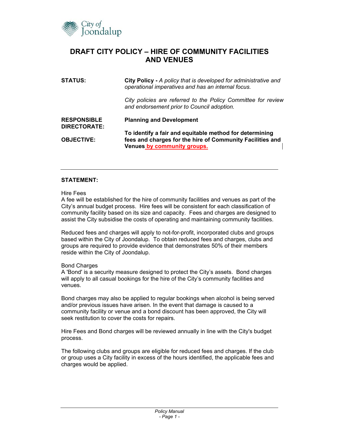

# **DRAFT CITY POLICY – HIRE OF COMMUNITY FACILITIES AND VENUES**

| <b>STATUS:</b>                     | City Policy - A policy that is developed for administrative and<br>operational imperatives and has an internal focus. |  |  |
|------------------------------------|-----------------------------------------------------------------------------------------------------------------------|--|--|
|                                    | City policies are referred to the Policy Committee for review<br>and endorsement prior to Council adoption.           |  |  |
| <b>RESPONSIBLE</b><br>DIRECTORATE: | <b>Planning and Development</b>                                                                                       |  |  |
|                                    | To identify a fair and equitable method for determining                                                               |  |  |
| <b>OBJECTIVE:</b>                  | fees and charges for the hire of Community Facilities and<br>Venues by community groups.                              |  |  |

## **STATEMENT:**

#### Hire Fees

A fee will be established for the hire of community facilities and venues as part of the City's annual budget process. Hire fees will be consistent for each classification of community facility based on its size and capacity. Fees and charges are designed to assist the City subsidise the costs of operating and maintaining community facilities.

Reduced fees and charges will apply to not-for-profit, incorporated clubs and groups based within the City of Joondalup. To obtain reduced fees and charges, clubs and groups are required to provide evidence that demonstrates 50% of their members reside within the City of Joondalup.

#### Bond Charges

A 'Bond' is a security measure designed to protect the City's assets. Bond charges will apply to all casual bookings for the hire of the City's community facilities and venues.

Bond charges may also be applied to regular bookings when alcohol is being served and/or previous issues have arisen. In the event that damage is caused to a community facility or venue and a bond discount has been approved, the City will seek restitution to cover the costs for repairs.

Hire Fees and Bond charges will be reviewed annually in line with the City's budget process.

The following clubs and groups are eligible for reduced fees and charges. If the club or group uses a City facility in excess of the hours identified, the applicable fees and charges would be applied.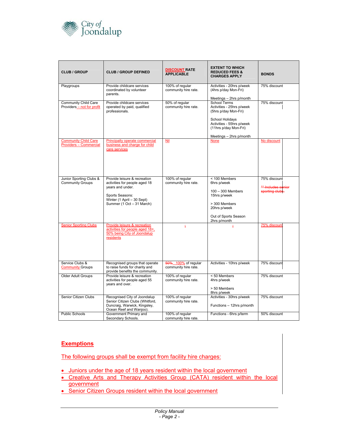

| <b>CLUB / GROUP</b>                                   | <b>CLUB / GROUP DEFINED</b>                                                                                                                                     | <b>DISCOUNT RATE</b><br><b>APPLICABLE</b>   | <b>EXTENT TO WHICH</b><br><b>REDUCED FEES &amp;</b><br><b>CHARGES APPLY</b>                                                                       | <b>BONDS</b>                                          |
|-------------------------------------------------------|-----------------------------------------------------------------------------------------------------------------------------------------------------------------|---------------------------------------------|---------------------------------------------------------------------------------------------------------------------------------------------------|-------------------------------------------------------|
| Playgroups                                            | Provide childcare services<br>coordinated by volunteer<br>parents.                                                                                              | 100% of regular<br>community hire rate.     | Activities - 20hrs p/week<br>(4hrs p/day Mon-Fri)<br>Meetings - 2hrs p/month                                                                      | 75% discount                                          |
| Community Child Care<br>Providers - not for profit    | Provide childcare services<br>operated by paid, qualified<br>professionals.                                                                                     | 50% of regular<br>community hire rate.      | <b>School Terms</b><br>Activities - 25hrs p/week<br>(5hrs p/day Mon-Fri)<br>School Holidays<br>Activities - 55hrs p/week<br>(11hrs p/day Mon-Fri) | 75% discount                                          |
| <b>Community Child Care</b><br>Providers - Commercial | Principally operate commercial<br>business and charge for child<br>care services                                                                                | Nil                                         | Meetings - 2hrs p/month<br><b>None</b>                                                                                                            | No discount                                           |
| Junior Sporting Clubs &<br><b>Community Groups</b>    | Provide leisure & recreation<br>activities for people aged 18<br>years and under.<br>Sports Seasons:<br>Winter (1 April - 30 Sept)<br>Summer (1 Oct - 31 March) | 100% of regular<br>community hire rate.     | < 100 Members<br>6hrs p/week<br>$100 - 300$ Members<br>15hrs p/week<br>> 300 Members<br>20hrs p/week<br>Out of Sports Season<br>2hrs p/month      | 75% discount<br>** Includes senior<br>sporting clubs. |
| <b>Senior Sporting Clubs</b>                          | Provide leisure & recreation<br>activities for people aged 18+,<br>50% being City of Joondalup<br>residents                                                     | Ξ                                           | Ξ                                                                                                                                                 | 75% discoun                                           |
| Service Clubs &<br><b>Community Groups</b>            | Recognised groups that operate<br>to raise funds for charity and<br>provide benefits the community.                                                             | 50% 100% of regular<br>community hire rate. | Activities - 10hrs p/week                                                                                                                         | 75% discount                                          |
| Older Adult Groups                                    | Provide leisure & recreation<br>activities for people aged 55<br>years and over.                                                                                | 100% of regular<br>community hire rate.     | < 50 Members<br>4hrs p/week<br>> 50 Members<br>8hrs p/week                                                                                        | 75% discount                                          |
| Senior Citizen Clubs                                  | Recognised City of Joondalup<br>Senior Citizen Clubs (Whitford,<br>Duncraig, Warwick, Kingsley,<br>Ocean Reef and Wanjoo).                                      | 100% of regular<br>community hire rate.     | Activities - 30hrs p/week<br>Functions - 12hrs p/month                                                                                            | 75% discount                                          |
| Public Schools                                        | Government Primary and<br>Secondary Schools.                                                                                                                    | 100% of regular<br>community hire rate.     | Functions - 6hrs p/term                                                                                                                           | 50% discount                                          |

# **Exemptions**

The following groups shall be exempt from facility hire charges:

- Juniors under the age of 18 years resident within the local government
- Creative Arts and Therapy Activities Group (CATA) resident within the local government
- Senior Citizen Groups resident within the local government